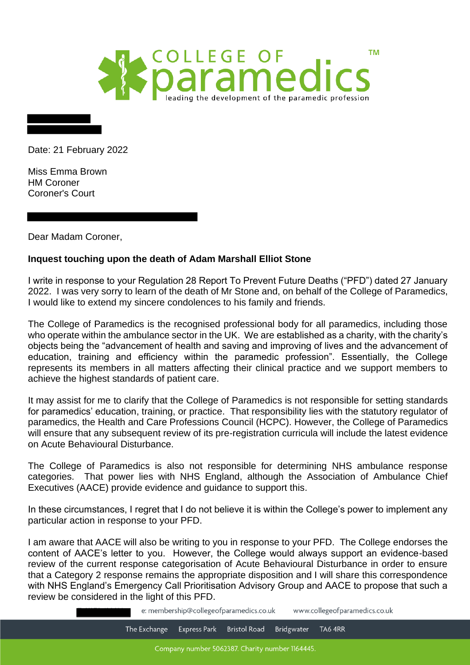

Date: 21 February 2022

Miss Emma Brown HM Coroner Coroner's Court

Dear Madam Coroner,

## **Inquest touching upon the death of Adam Marshall Elliot Stone**

I write in response to your Regulation 28 Report To Prevent Future Deaths ("PFD") dated 27 January 2022. I was very sorry to learn of the death of Mr Stone and, on behalf of the College of Paramedics, I would like to extend my sincere condolences to his family and friends.

The College of Paramedics is the recognised professional body for all paramedics, including those who operate within the ambulance sector in the UK. We are established as a charity, with the charity's objects being the "advancement of health and saving and improving of lives and the advancement of education, training and efficiency within the paramedic profession". Essentially, the College represents its members in all matters affecting their clinical practice and we support members to achieve the highest standards of patient care.

It may assist for me to clarify that the College of Paramedics is not responsible for setting standards for paramedics' education, training, or practice. That responsibility lies with the statutory regulator of paramedics, the Health and Care Professions Council (HCPC). However, the College of Paramedics will ensure that any subsequent review of its pre-registration curricula will include the latest evidence on Acute Behavioural Disturbance.

The College of Paramedics is also not responsible for determining NHS ambulance response categories. That power lies with NHS England, although the Association of Ambulance Chief Executives (AACE) provide evidence and guidance to support this.

In these circumstances, I regret that I do not believe it is within the College's power to implement any particular action in response to your PFD.

I am aware that AACE will also be writing to you in response to your PFD. The College endorses the content of AACE's letter to you. However, the College would always support an evidence-based review of the current response categorisation of Acute Behavioural Disturbance in order to ensure that a Category 2 response remains the appropriate disposition and I will share this correspondence with NHS England's Emergency Call Prioritisation Advisory Group and AACE to propose that such a review be considered in the light of this PFD.

> e: membership@collegeofparamedics.co.uk www.collegeofparamedics.co.uk